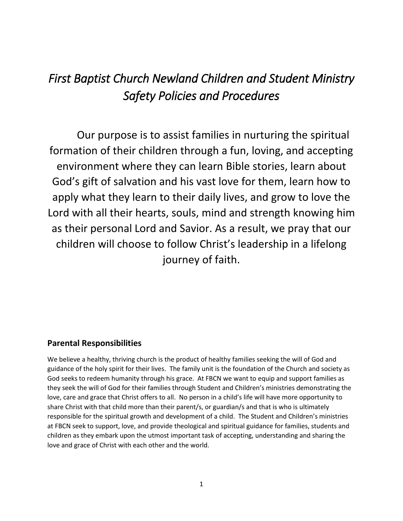# *First Baptist Church Newland Children and Student Ministry Safety Policies and Procedures*

Our purpose is to assist families in nurturing the spiritual formation of their children through a fun, loving, and accepting environment where they can learn Bible stories, learn about God's gift of salvation and his vast love for them, learn how to apply what they learn to their daily lives, and grow to love the Lord with all their hearts, souls, mind and strength knowing him as their personal Lord and Savior. As a result, we pray that our children will choose to follow Christ's leadership in a lifelong journey of faith.

# **Parental Responsibilities**

We believe a healthy, thriving church is the product of healthy families seeking the will of God and guidance of the holy spirit for their lives. The family unit is the foundation of the Church and society as God seeks to redeem humanity through his grace. At FBCN we want to equip and support families as they seek the will of God for their families through Student and Children's ministries demonstrating the love, care and grace that Christ offers to all. No person in a child's life will have more opportunity to share Christ with that child more than their parent/s, or guardian/s and that is who is ultimately responsible for the spiritual growth and development of a child. The Student and Children's ministries at FBCN seek to support, love, and provide theological and spiritual guidance for families, students and children as they embark upon the utmost important task of accepting, understanding and sharing the love and grace of Christ with each other and the world.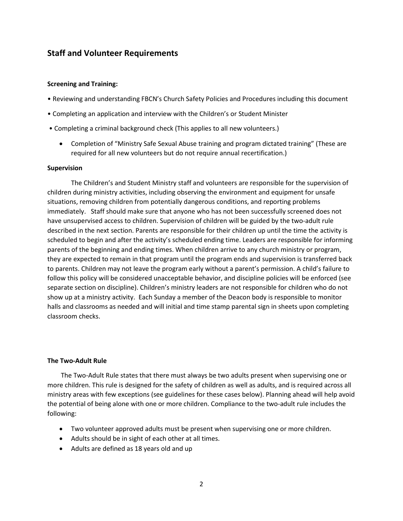# **Staff and Volunteer Requirements**

#### **Screening and Training:**

- Reviewing and understanding FBCN's Church Safety Policies and Procedures including this document
- Completing an application and interview with the Children's or Student Minister
- Completing a criminal background check (This applies to all new volunteers.)
	- Completion of "Ministry Safe Sexual Abuse training and program dictated training" (These are required for all new volunteers but do not require annual recertification.)

#### **Supervision**

The Children's and Student Ministry staff and volunteers are responsible for the supervision of children during ministry activities, including observing the environment and equipment for unsafe situations, removing children from potentially dangerous conditions, and reporting problems immediately. Staff should make sure that anyone who has not been successfully screened does not have unsupervised access to children. Supervision of children will be guided by the two-adult rule described in the next section. Parents are responsible for their children up until the time the activity is scheduled to begin and after the activity's scheduled ending time. Leaders are responsible for informing parents of the beginning and ending times. When children arrive to any church ministry or program, they are expected to remain in that program until the program ends and supervision is transferred back to parents. Children may not leave the program early without a parent's permission. A child's failure to follow this policy will be considered unacceptable behavior, and discipline policies will be enforced (see separate section on discipline). Children's ministry leaders are not responsible for children who do not show up at a ministry activity. Each Sunday a member of the Deacon body is responsible to monitor halls and classrooms as needed and will initial and time stamp parental sign in sheets upon completing classroom checks.

#### **The Two‐Adult Rule**

The Two‐Adult Rule states that there must always be two adults present when supervising one or more children. This rule is designed for the safety of children as well as adults, and is required across all ministry areas with few exceptions (see guidelines for these cases below). Planning ahead will help avoid the potential of being alone with one or more children. Compliance to the two‐adult rule includes the following:

- Two volunteer approved adults must be present when supervising one or more children.
- Adults should be in sight of each other at all times.
- Adults are defined as 18 years old and up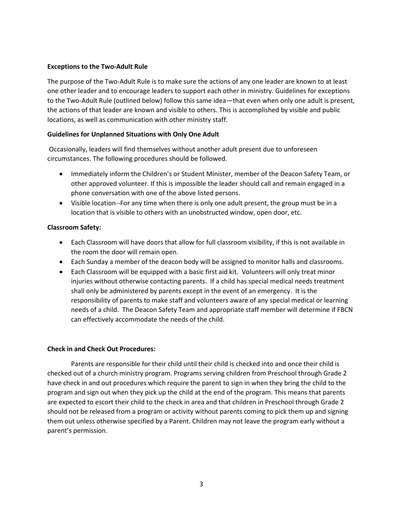## **Exceptions to the Two‐Adult Rule**

The purpose of the Two‐Adult Rule is to make sure the actions of any one leader are known to at least one other leader and to encourage leaders to support each other in ministry. Guidelines for exceptions to the Two‐Adult Rule (outlined below) follow this same idea—that even when only one adult is present, the actions of that leader are known and visible to others. This is accomplished by visible and public locations, as well as communication with other ministry staff.

# **Guidelines for Unplanned Situations with Only One Adult**

Occasionally, leaders will find themselves without another adult present due to unforeseen circumstances. The following procedures should be followed.

- Immediately inform the Children's or Student Minister, member of the Deacon Safety Team, or other approved volunteer. If this is impossible the leader should call and remain engaged in a phone conversation with one of the above listed persons.
- Visible location--For any time when there is only one adult present, the group must be in a location that is visible to others with an unobstructed window, open door, etc.

# **Classroom Safety:**

- Each Classroom will have doors that allow for full classroom visibility, if this is not available in the room the door will remain open.
- Each Sunday a member of the deacon body will be assigned to monitor halls and classrooms.
- Each Classroom will be equipped with a basic first aid kit. Volunteers will only treat minor injuries without otherwise contacting parents. If a child has special medical needs treatment shall only be administered by parents except in the event of an emergency. It is the responsibility of parents to make staff and volunteers aware of any special medical or learning needs of a child. The Deacon Safety Team and appropriate staff member will determine if FBCN can effectively accommodate the needs of the child.

## **Check in and Check Out Procedures:**

Parents are responsible for their child until their child is checked into and once their child is checked out of a church ministry program. Programs serving children from Preschool through Grade 2 have check in and out procedures which require the parent to sign in when they bring the child to the program and sign out when they pick up the child at the end of the program. This means that parents are expected to escort their child to the check in area and that children in Preschool through Grade 2 should not be released from a program or activity without parents coming to pick them up and signing them out unless otherwise specified by a Parent. Children may not leave the program early without a parent's permission.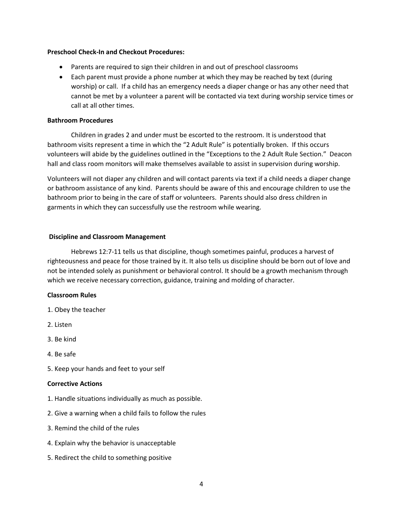#### **Preschool Check-In and Checkout Procedures:**

- Parents are required to sign their children in and out of preschool classrooms
- Each parent must provide a phone number at which they may be reached by text (during worship) or call. If a child has an emergency needs a diaper change or has any other need that cannot be met by a volunteer a parent will be contacted via text during worship service times or call at all other times.

#### **Bathroom Procedures**

Children in grades 2 and under must be escorted to the restroom. It is understood that bathroom visits represent a time in which the "2 Adult Rule" is potentially broken. If this occurs volunteers will abide by the guidelines outlined in the "Exceptions to the 2 Adult Rule Section." Deacon hall and class room monitors will make themselves available to assist in supervision during worship.

Volunteers will not diaper any children and will contact parents via text if a child needs a diaper change or bathroom assistance of any kind. Parents should be aware of this and encourage children to use the bathroom prior to being in the care of staff or volunteers. Parents should also dress children in garments in which they can successfully use the restroom while wearing.

## **Discipline and Classroom Management**

Hebrews 12:7-11 tells us that discipline, though sometimes painful, produces a harvest of righteousness and peace for those trained by it. It also tells us discipline should be born out of love and not be intended solely as punishment or behavioral control. It should be a growth mechanism through which we receive necessary correction, guidance, training and molding of character.

## **Classroom Rules**

- 1. Obey the teacher
- 2. Listen
- 3. Be kind
- 4. Be safe
- 5. Keep your hands and feet to your self

#### **Corrective Actions**

- 1. Handle situations individually as much as possible.
- 2. Give a warning when a child fails to follow the rules
- 3. Remind the child of the rules
- 4. Explain why the behavior is unacceptable
- 5. Redirect the child to something positive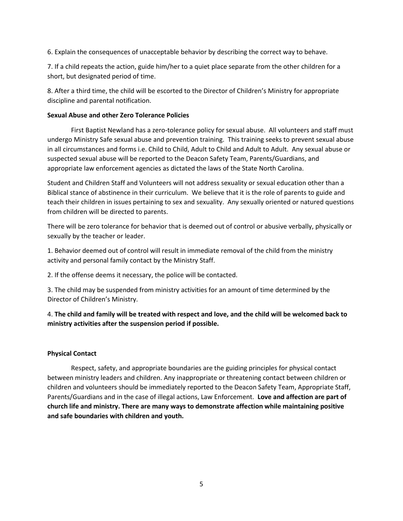6. Explain the consequences of unacceptable behavior by describing the correct way to behave.

7. If a child repeats the action, guide him/her to a quiet place separate from the other children for a short, but designated period of time.

8. After a third time, the child will be escorted to the Director of Children's Ministry for appropriate discipline and parental notification.

# **Sexual Abuse and other Zero Tolerance Policies**

First Baptist Newland has a zero-tolerance policy for sexual abuse. All volunteers and staff must undergo Ministry Safe sexual abuse and prevention training. This training seeks to prevent sexual abuse in all circumstances and forms i.e. Child to Child, Adult to Child and Adult to Adult. Any sexual abuse or suspected sexual abuse will be reported to the Deacon Safety Team, Parents/Guardians, and appropriate law enforcement agencies as dictated the laws of the State North Carolina.

Student and Children Staff and Volunteers will not address sexuality or sexual education other than a Biblical stance of abstinence in their curriculum. We believe that it is the role of parents to guide and teach their children in issues pertaining to sex and sexuality. Any sexually oriented or natured questions from children will be directed to parents.

There will be zero tolerance for behavior that is deemed out of control or abusive verbally, physically or sexually by the teacher or leader.

1. Behavior deemed out of control will result in immediate removal of the child from the ministry activity and personal family contact by the Ministry Staff.

2. If the offense deems it necessary, the police will be contacted.

3. The child may be suspended from ministry activities for an amount of time determined by the Director of Children's Ministry.

4. **The child and family will be treated with respect and love, and the child will be welcomed back to ministry activities after the suspension period if possible.**

## **Physical Contact**

Respect, safety, and appropriate boundaries are the guiding principles for physical contact between ministry leaders and children. Any inappropriate or threatening contact between children or children and volunteers should be immediately reported to the Deacon Safety Team, Appropriate Staff, Parents/Guardians and in the case of illegal actions, Law Enforcement. **Love and affection are part of church life and ministry. There are many ways to demonstrate affection while maintaining positive and safe boundaries with children and youth.**